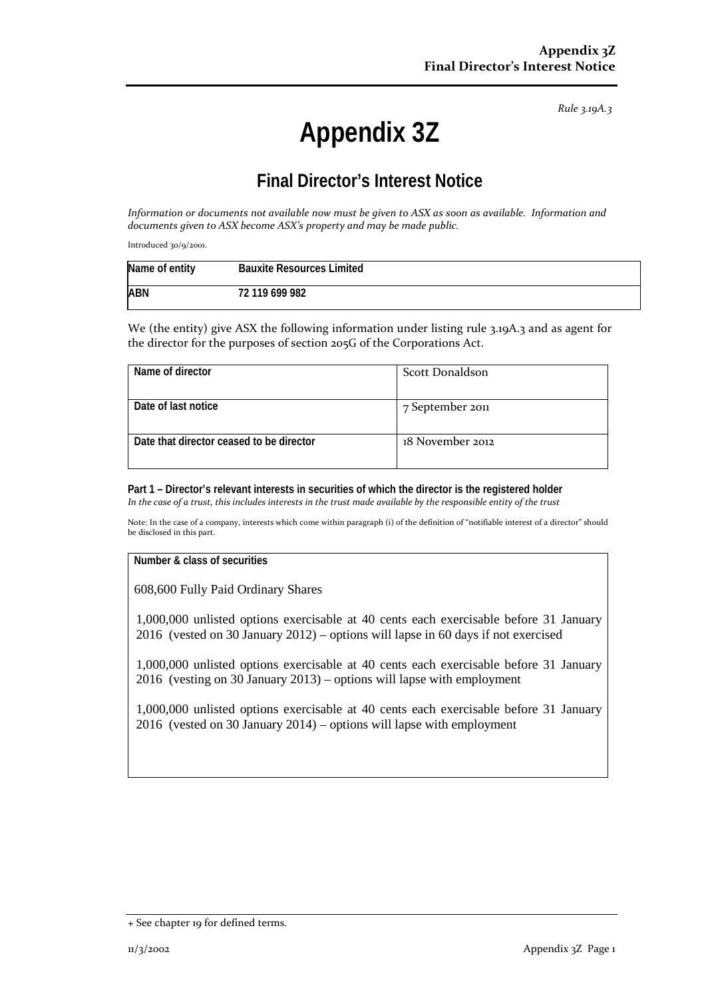*Rule 3.19A.3*

# **Appendix 3Z**

# **Final Director's Interest Notice**

*Information or documents not available now must be given to ASX as soon as available. Information and documents given to ASX become ASX's property and may be made public.*

Introduced 30/9/2001.

| Name of entity | <b>Bauxite Resources Limited</b> |
|----------------|----------------------------------|
| <b>ABN</b>     | 72 119 699 982                   |

We (the entity) give ASX the following information under listing rule 3.19A.3 and as agent for the director for the purposes of section 205G of the Corporations Act.

| Name of director                         | Scott Donaldson  |
|------------------------------------------|------------------|
| Date of last notice                      | 7 September 2011 |
| Date that director ceased to be director | 18 November 2012 |

**Part 1 – Director's relevant interests in securities of which the director is the registered holder** *In the case of a trust, this includes interests in the trust made available by the responsible entity of the trust*

Note: In the case of a company, interests which come within paragraph (i) of the definition of "notifiable interest of a director" should be disclosed in this part.

#### **Number & class of securities**

608,600 Fully Paid Ordinary Shares

1,000,000 unlisted options exercisable at 40 cents each exercisable before 31 January 2016 (vested on 30 January 2012) – options will lapse in 60 days if not exercised

1,000,000 unlisted options exercisable at 40 cents each exercisable before 31 January 2016 (vesting on 30 January 2013) – options will lapse with employment

1,000,000 unlisted options exercisable at 40 cents each exercisable before 31 January 2016 (vested on 30 January 2014) – options will lapse with employment

<sup>+</sup> See chapter 19 for defined terms.